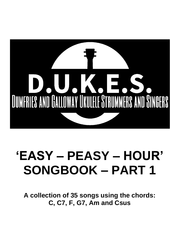

# **'EASY – PEASY – HOUR' SONGBOOK – PART 1**

**A collection of 35 songs using the chords: C, C7, F, G7, Am and Csus**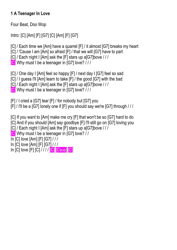## **1 A Teenager In Love**

Four Beat, Doo Wop

Intro: [C] [Am] [F] [G7] [C] [Am] [F] [G7]

[C] / Each time we [Am] have a quarrel [F] / it almost [G7] breaks my heart

[C] / 'Cause I am [Am] so afraid [F] / that we will [G7] have to part

[C] / Each night I [Am] ask the [F] stars up a[G7]bove ///

[C] Why must I be a teenager in [G7] love? / / /

[C] / One day I [Am] feel so happy [F] / next day I [G7] feel so sad [C] / I guess I'll [Am] learn to take [F] / the good [G7] with the bad

[C] / Each night I [Am] ask the [F] stars up a[G7]bove ///

[C] Why must I be a teenager in [G7] love? / / /

[F] / I cried a [G7] tear [F] / for nobody but [G7] you [F] / I'll be a [G7] lonely one if [F] you should say we're [G7] through / / /

[C] If you want to [Am] make me cry [F] that won't be so [G7] hard to do [C] And if you should [Am] say goodbye [F] I'll still go on [G7] loving you [C] / Each night I [Am] ask the [F] stars up a[G7]bove / / /  $|C|$  Why must I be a teenager in [G7] love?  $\frac{1}{1}$ In [C] love [Am] [F] [G7] / / / In [C] love [Am] [F] [G7] / / / In [C] love [F] [C] / / / / [C] [Csus] [C]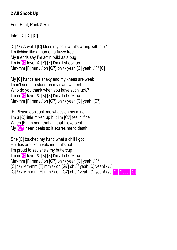## **2 All Shook Up**

Four Beat, Rock & Roll

Intro: [C] [C] [C]

[C] / / / A well I [C] bless my soul what's wrong with me? I'm itching like a man on a fuzzy tree My friends say I'm actin' wild as a bug I'm in **[C]** love [X] [X] [X] I'm all shook up Mm-mm [F] mm / / oh [G7] oh / / yeah [C] yeah! / / / [C]

My [C] hands are shaky and my knees are weak I can't seem to stand on my own two feet Who do you thank when you have such luck? I'm in  $\overline{C}$  love  $\overline{X}$   $\overline{X}$   $\overline{X}$   $\overline{X}$   $\overline{Y}$   $\overline{Y}$  all shook up Mm-mm [F] mm / / oh [G7] oh / / yeah [C] yeah! [C7]

[F] Please don't ask me what's on my mind I'm a [C] little mixed up but I'm [C7] feelin' fine When [F] I'm near that girl that I love best My **[G7]** heart beats so it scares me to death!

She [C] touched my hand what a chill I got Her lips are like a volcano that's hot I'm proud to say she's my buttercup I'm in  $\overline{C}$  love  $\overline{X}$   $\overline{X}$   $\overline{X}$   $\overline{X}$   $\overline{Y}$   $\overline{Y}$  all shook up Mm-mm [F] mm / / oh [G7] oh / / yeah [C] yeah! / / / [C] / / / Mm-mm [F] mm / / oh [G7] oh / / yeah [C] yeah! / / / [C] / / / Mm-mm [F] mm / / oh [G7] oh / / yeah [C] yeah! / / / [C] [Csus] [C]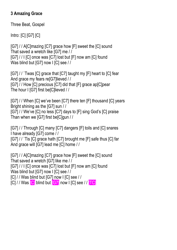## **3 Amazing Grace**

Three Beat, Gospel

Intro: [C] [G7] [C]

[G7] / / A[C]mazing [C7] grace how [F] sweet the [C] sound That saved a wretch like [G7] me / / [G7] / / I [C] once was [C7] lost but [F] now am [C] found Was blind but [G7] now I [C] see / /

[G7] / / `Twas [C] grace that [C7] taught my [F] heart to [C] fear And grace my fears re[G7]lieved / / [G7] / / How [C] precious [C7] did that [F] grace ap[C]pear The hour I [G7] first be[C]lieved / /

[G7] / / When [C] we've been [C7] there ten [F] thousand [C] years Bright shining as the [G7] sun / / [G7] / / We've [C] no less [C7] days to [F] sing God's [C] praise Than when we [G7] first be[C]qun / /

[G7] / / Through [C] many [C7] dangers [F] toils and [C] snares I have already [G7] come / / [G7] / / `Tis [C] grace hath [C7] brought me [F] safe thus [C] far And grace will [G7] lead me [C] home / /

[G7] / / A[C]mazing [C7] grace how [F] sweet the [C] sound That saved a wretch [G7] like me / / [G7] / / I [C] once was [C7] lost but [F] now am [C] found Was blind but [G7] now I [C] see / / [C] / / Was blind but [G7] now I [C] see / / [C] / / Was **[C]** blind but **[G7]** now I [C] see / / **[TC]**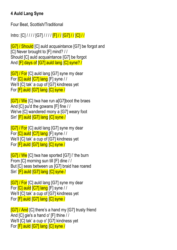## **4 Auld Lang Syne**

Four Beat, Scottish/Traditional

Intro: [C] / / / / [G7] / / / / [F] / / [G7] / / [C] / /

[G7] / Should [C] auld acquaintance [G7] be forgot and [C] Never brought to [F] mind? / / Should [C] auld acquaintance [G7] be forgot And **[F] days of [G7] auld lang [C] syne?** /

[G7] / For [C] auld lang [G7] syne my dear For **[C] auld [C7] lang** [F] syne // We'll [C] tak' a cup of [G7] kindness yet For [F] auld [G7] lang [C] syne /

**[G7] / We** [C] twa hae run a[G7]boot the braes And [C] pu'd the gowans [F] fine / / We've [C] wandered mony a [G7] weary foot Sin' [F] auld [G7] lang [C] syne /

**[G7] / For** [C] auld lang [G7] syne my dear For [C] auld [C7] lang [F] syne // We'll [C] tak' a cup of [G7] kindness yet For [F] auld [G7] lang [C] syne /

**[G7] / We** [C] twa hae sported [G7] i' the burn From [C] morning sun till [F] dine / / But [C] seas between us [G7] braid hae roared Sin' **[F] auld [G7] lang [C] syne /** 

**[G7] / For** [C] auld lang [G7] syne my dear For [C] auld [C7] lang [F] syne // We'll [C] tak' a cup of [G7] kindness vet For [F] auld [G7] lang [C] syne /

**[G7] / And** [C] there's a hand my [G7] trusty friend And [C] gie's a hand o' [F] thine / / We'll [C] tak' a cup o' [G7] kindness yet For [F] auld [G7] lang [C] syne /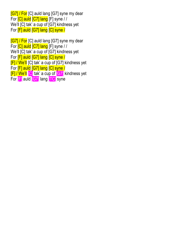[G7] / For [C] auld lang [G7] syne my dear For [C] auld [C7] lang [F] syne / / We'll [C] tak' a cup of [G7] kindness yet For [F] auld [G7] lang [C] syne /

[G7] / For [C] auld lang [G7] syne my dear For [C] auld [C7] lang [F] syne // We'll [C] tak' a cup of [G7] kindness yet For [F] auld [G7] lang [C] syne /  $[F]/\overline{We'll}$  [C] tak' a cup of [G7] kindness yet For [F] auld [G7] lang [C] syne / [F] / We'll [C] tak' a cup of [G7] kindness yet For [F] auld [G7] lang [TC] syne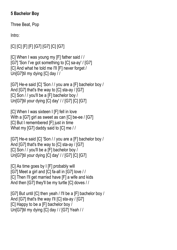## **5 Bachelor Boy**

Three Beat, Pop

Intro:

[C] [C] [F] [F] [G7] [G7] [C] [G7]

[C] When I was young my [F] father said / / [G7] 'Son I've got something to [C] sa-ay' / [G7] [C] And what he told me I'll [F] never forget / Un[G7]til my dying [C] day / /

[G7] He-e said [C] 'Son / / you are a [F] bachelor boy / And [G7] that's the way to [C] sta-ay / [G7] [C] Son / / you'll be a [F] bachelor boy / Un[G7]til your dying [C] day' / / [G7] [C] [G7]

[C] When I was sixteen I [F] fell in love With a [G7] girl as sweet as can [C] be-ee / [G7] [C] But I remembered [F] just in time What my [G7] daddy said to [C] me / /

[G7] He-e said [C] 'Son / / you are a [F] bachelor boy / And [G7] that's the way to [C] sta-ay / [G7] [C] Son / / you'll be a [F] bachelor boy / Un[G7]til your dying [C] day' / / [G7] [C] [G7]

[C] As time goes by I [F] probably will [G7] Meet a girl and [C] fa-all in [G7] love / / [C] Then I'll get married have [F] a wife and kids And then [G7] they'll be my turtle [C] doves / /

[G7] But until [C] then yeah / I'll be a [F] bachelor boy / And [G7] that's the way I'll [C] sta-ay / [G7] [C] Happy to be a [F] bachelor boy / Un[G7]til my dying [C] day / / [G7] Yeah / /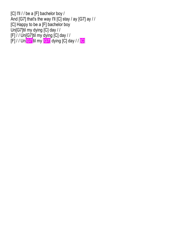[C] I'll / / be a [F] bachelor boy / And [G7] that's the way I'll [C] stay / ay [G7] ay / / [C] Happy to be a [F] bachelor boy Un[G7]til my dying [C] day / / [F] / / Un[G7]til my dying [C] day / /  $[$  F]  $\frac{1}{2}$  /  $\frac{1}{2}$  Un $[$  G7 $]$  til my  $[$  G7 $]$  dying  $[$  C] day  $\frac{1}{2}$   $[$  C]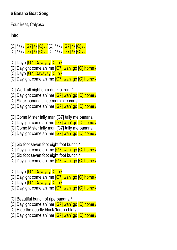## **6 Banana Boat Song**

Four Beat, Calypso

Intro:

```
[C] / / / / [G7] / / [C] / / [C] / / / / [G7] / / [C] / /
[C] / / / / [G7] / / [C] / / [C] / / / / [G7] / / [C] / /
```
- [C] Dayo **[G7] Dayayay [C] o /**
- [C] Daylight come an' me [G7] wan' go [C] home /
- [C] Dayo [G7] Dayayay [C] o /
- [C] Daylight come an' me [G7] wan' go [C] home /
- [C] Work all night on a drink a' rum /
- [C] Daylight come an' me [G7] wan' go [C] home /
- [C] Stack banana till de mornin' come /
- [C] Daylight come an' me **[G7] wan' go [C] home /**
- [C] Come Mister tally man [G7] tally me banana
- [C] Daylight come an' me [G7] wan' go [C] home /
- [C] Come Mister tally man [G7] tally me banana
- [C] Daylight come an' me [G7] wan' go [C] home /
- [C] Six foot seven foot eight foot bunch /
- [C] Daylight come an' me [G7] wan' go [C] home /
- [C] Six foot seven foot eight foot bunch /
- [C] Daylight come an' me [G7] wan' go [C] home /
- [C] Dayo **[G7] Dayayay [C] o /**
- [C] Daylight come an' me [G7] wan' go [C] home /
- [C] Dayo [G7] Dayayay [C] o /
- [C] Daylight come an' me [G7] wan' go [C] home /
- [C] Beautiful bunch of ripe banana /
- [C] Daylight come an' me [G7] wan' go [C] home /
- [C] Hide the deadly black 'taran-chla' /
- [C] Daylight come an' me **[G7] wan' go [C] home /**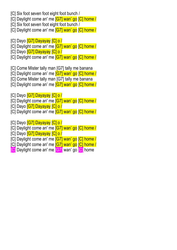- [C] Six foot seven foot eight foot bunch /
- [C] Daylight come an' me [G7] wan' go [C] home /
- [C] Six foot seven foot eight foot bunch /
- [C] Daylight come an' me **[G7] wan' go [C] home /**
- [C] Dayo [G7] Dayayay [C] o /
- [C] Daylight come an' me [G7] wan' go [C] home /
- [C] Dayo [G7] Dayayay [C] o /
- [C] Daylight come an' me [G7] wan' go [C] home /
- [C] Come Mister tally man [G7] tally me banana
- [C] Daylight come an' me [G7] wan' go [C] home /
- [C] Come Mister tally man [G7] tally me banana
- [C] Daylight come an' me **[G7] wan' go [C] home /**
- [C] Dayo [G7] Dayayay [C] o /
- [C] Daylight come an' me [G7] wan' go [C] home /
- [C] Dayo **[G7] Dayayay [C] o /**
- [C] Daylight come an' me [G7] wan' go [C] home /
- [C] Dayo **[G7] Dayayay [C] o /**
- [C] Daylight come an' me [G7] wan' go [C] home /
- [C] Dayo **[G7] Dayayay [C] o /**
- [C] Daylight come an' me **[G7] wan' go [C] home /**
- [C] Daylight come an' me [G7] wan' go [C] home /
- [C] Daylight come an' me [G7] wan' go [C] home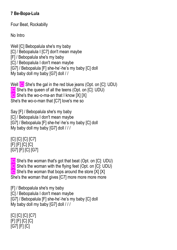## **7 Be-Bopa-Lula**

Four Beat, Rockabilly

No Intro

Well [C] Bebopalula she's my baby [C] / Bebopalula I [C7] don't mean maybe [F] / Bebopalula she's my baby [C] / Bebopalula I don't mean maybe [G7] / Bebopalula [F] she-he'-he's my baby [C] doll My baby doll my baby [G7] doll / /

Well **C** She's the gal in the red blue jeans (Opt. on [C]: UDU) [C] She's the queen of all the teens (Opt. on [C]: UDU)  $|C|$  She's the wo-o-ma-an that I know  $|X|$   $|X|$ She's the wo-o-man that [C7] love's me so

Say [F] / Bebopalula she's my baby [C] / Bebopalula I don't mean maybe [G7] / Bebopalula [F] she-he'-he's my baby [C] doll My baby doll my baby [G7] doll / / /

[C] [C] [C] [C7] [F] [F] [C] [C] [G7] [F] [C] [G7]

[C] She's the woman that's got that beat (Opt. on [C]: UDU)

[C] She's the woman with the flying feet (Opt. on [C]: UDU)

[C] She's the woman that bops around the store [X] [X]

She's the woman that gives [C7] more more more more

[F] / Bebopalula she's my baby [C] / Bebopalula I don't mean maybe [G7] / Bebopalula [F] she-he'-he's my baby [C] doll My baby doll my baby [G7] doll / / /

[C] [C] [C] [C7] [F] [F] [C] [C] [G7] [F] [C]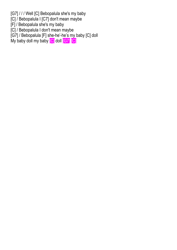[G7] / / / Well [C] Bebopalula she's my baby [C] / Bebopalula I [C7] don't mean maybe [F] / Bebopalula she's my baby [C] / Bebopalula I don't mean maybe [G7] / Bebopalula [F] she-he'-he's my baby [C] doll My baby doll my baby **[C]** doll **[G7] [C]**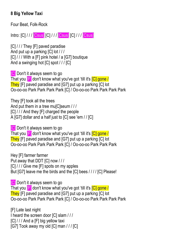## **8 Big Yellow Taxi**

Four Beat, Folk-Rock

Intro: [C] / / / [Csus] [C] / / / [Csus] [C] / / / [Csus]

[C] / / / They [F] paved paradise And put up a parking [C] lot / / / [C] / / / With a [F] pink hotel / a [G7] boutique And a swinging hot [C] spot / / / [C]

**[C]** Don't it always seem to go That you **F** don't know what you've got 'till it's **[C] gone** / They [F] paved paradise and [G7] put up a parking [C] lot Oo-oo-oo Park Park Park Park [C] / Oo-oo-oo Park Park Park Park

They [F] took all the trees And put them in a tree mu[C]seum / / / [C] / / / And they [F] charged the people A [G7] dollar and a half just to [C] see 'em / / [C]

[C] Don't it always seem to go That you **F** don't know what you've got 'till it's **[C] gone** / They [F] paved paradise and [G7] put up a parking [C] lot Oo-oo-oo Park Park Park Park [C] / Oo-oo-oo Park Park Park

Hey [F] farmer farmer Put away that DDT [C] now / / / [C] / / / Give me [F] spots on my apples But [G7] leave me the birds and the [C] bees / / / / [C] Please!

[C] Don't it always seem to go That you [F] don't know what you've got 'till it's [C] gone / They [F] paved paradise and [G7] put up a parking [C] lot Oo-oo-oo Park Park Park Park [C] / Oo-oo-oo Park Park Park Park

[F] Late last night I heard the screen door [C] slam / / / [C] / / / And a [F] big yellow taxi [G7] Took away my old [C] man / / / [C]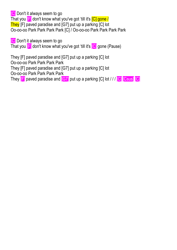[C] Don't it always seem to go

That you **F** don't know what you've got 'till it's **[C] gone /** They [F] paved paradise and [G7] put up a parking [C] lot Oo-oo-oo Park Park Park Park [C] / Oo-oo-oo Park Park Park Park

[C] Don't it always seem to go

That you [F] don't know what you've got 'till it's [C] gone (Pause)

They [F] paved paradise and [G7] put up a parking [C] lot

Oo-oo-oo Park Park Park Park

They [F] paved paradise and [G7] put up a parking [C] lot

Oo-oo-oo Park Park Park Park

They **F** paved paradise and **[G7]** put up a parking [C] lot / / / **[C] [Csus] [C]**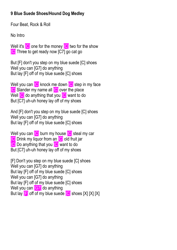#### **9 Blue Suede Shoes/Hound Dog Medley**

Four Beat, Rock & Roll

No Intro

Well it's **[C]** one for the money **[C]** two for the show **[C]** Three to get ready now [C7] go cat go

But [F] don't you step on my blue suede [C] shoes Well you can [G7] do anything But lay [F] off of my blue suede [C] shoes

Well you can **[C]** knock me down **[C]** step in my face **[C]** Slander my name all **[C]** over the place Well **[C]** do anything that you **[C]** want to do But [C7] uh-uh honey lay off of my shoes

And [F] don't you step on my blue suede [C] shoes Well you can [G7] do anything But lay [F] off of my blue suede [C] shoes

Well you can **[C]** burn my house **[C]** steal my car **[C]** Drink my liquor from an **[C]** old fruit jar **[C]** Do anything that you **[C]** want to do But [C7] uh-uh honey lay off of my shoes

[F] Don't you step on my blue suede [C] shoes Well you can [G7] do anything But lay [F] off of my blue suede [C] shoes Well you can [G7] do anything But lay [F] off of my blue suede [C] shoes Well you can **[G7]** do anything But lay **F** off of my blue suede **[C]** shoes [X] [X] [X]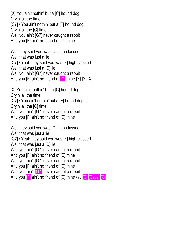[X] You ain't nothin' but a [C] hound dog Cryin' all the time [C7] / You ain't nothin' but a [F] hound dog Cryin' all the [C] time Well you ain't [G7] never caught a rabbit And you [F] ain't no friend of [C] mine

Well they said you was [C] high-classed Well that was just a lie [C7] / Yeah they said you was [F] high-classed Well that was just a [C] lie Well you ain't [G7] never caught a rabbit And you [F] ain't no friend of  $\overline{C}$  mine [X] [X] [X]

[X] You ain't nothin' but a [C] hound dog Cryin' all the time [C7] / You ain't nothin' but a [F] hound dog Cryin' all the [C] time Well you ain't [G7] never caught a rabbit And you [F] ain't no friend of [C] mine

Well they said you was [C] high-classed Well that was just a lie [C7] / Yeah they said you was [F] high-classed Well that was just a [C] lie Well you ain't [G7] never caught a rabbit And you [F] ain't no friend of [C] mine Well you ain't [G7] never caught a rabbit And you [F] ain't no friend of [C] mine Well you ain't G<sub>7</sub> never caught a rabbit And you **F** ain't no friend of [C] mine /// **[C] [Csus] [C]**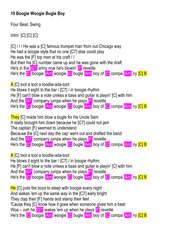# **10 Boogie Woogie Bugle Boy**

Four Beat, Swing

Intro: [C] [C] [C]

[C] / / / He was a [C] famous trumpet man from out Chicago way He had a boogie style that no one [C7] else could play He was the [F] top man at his craft / / But then his [C] number came up and he was gone with the draft He's in the [G7] army now he's blowin' [F] reveille He's the [C] boogie [Am] woogie [C] bugle [Am] boy of [C] compa [Am] ny [C] B

A [C] toot a toot a toodlie-ada-toot He blows it eight to the bar / [C7] / in boogie rhythm He [F] can't blow a note unless a bass and guitar is playin' [C] with him And the **[G7]** company jumps when he plays **[F]** reveille He's the **[C]** boogie **[Am]** woogie **[C]** bugle **[Am]** boy of **[C]** compa **[Am]** ny **[C] B** 

**They** [C] made him blow a bugle for his Uncle Sam It really brought him down because he [C7] could not jam The captain [F] seemed to understand Because the [C] next day the cap' went out and drafted the band And the **[G7]** company jumps when he plays **[F]** reveille He's the [C] boogie [Am] woogie [C] bugle [Am] boy of [C] compa [Am] ny [C] B

A [C] toot a toot a toodlie-ada-toot He blows it eight to the bar / [C7] / in boogie rhythm He [F] can't blow a note unless a bass and guitar is playin' [C] with him And the **[G7]** company jumps when he plays **[F]** reveille He's the [C] boogie [Am] woogie [C] bugle [Am] boy of [C] compa [Am] ny [C] B

He [C] puts the boys to sleep with boogie every night And wakes 'em up the same way in the [C7] early bright They clap their [F] hands and stamp their feet 'Cause they [C] know how it goes when someone gives him a beat Woa – oah he  $\boxed{G7}$  wakes 'em up when he plays  $\boxed{F}$  reveille He's the **[C]** boogie **[Am]** woogie **[C]** bugle **[Am]** boy of **[C]** compa **[Am]** ny **[C] B**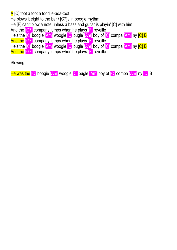A [C] toot a toot a toodlie-ada-toot

He blows it eight to the bar / [C7] / in boogie rhythm

He [F] can't blow a note unless a bass and guitar is playin' [C] with him

And the [G7] company jumps when he plays [F] reveille

He's the C] boogie [Am] woogie [C] bugle [Am] boy of [C] compa [Am] ny [C] B

And the [G7] company jumps when he plays [F] reveille

He's the C] boogie [Am] woogie [C] bugle [Am] boy of [C] compa [Am] ny [C] B And the **[G7]** company jumps when he plays **[F]** reveille

Slowing:

He was the [C] boogie [Am] woogie [C] bugle [Am] boy of [C] compa [Am] ny [C] B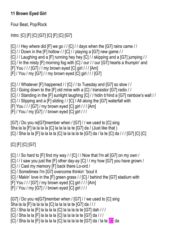# **11 Brown Eyed Girl**

Four Beat, Pop/Rock

Intro: [C] [F] [C] [G7] [C] [F] [C] [G7]

[C] / / Hey where did [F] we go / / [C] / / days when the [G7] rains came / /

 $\left[\frac{C}{I}\right]$  / / Down in the  $\left[\frac{F}{I}\right]$  hollow / /  $\left[\frac{C}{I}\right]$  / / playing a  $\left[\frac{G}{I}\right]$  new game / /

[C] / / Laughing and a [F] running hey hey [C] / / skipping and a [G7] jumping / /

[C] / In the misty [F] morning fog with [C] / our / / our [G7] hearts a thumpin' and

[F] You  $11$  [G7]  $11$  my brown eyed [C] girl  $111$  [Am]

[F] / You / my [G7] / / my brown eyed [C] girl / / / [G7]

[C] / / Whatever [F] happened / / [C] / / to Tuesday and [G7] so slow / /

[C] / Going down to the [F] old mine with a [C] / transistor [G7] radio / /

[C] / / Standing in the [F] sunlight laughing [C] / / hidin b'hind a [G7] rainbow's wall / /

[C] / / Slipping and a [F] sliding / / [C] / All along the [G7] waterfall with

[F] You  $11$  [G7]  $1$  my brown eyed [C] girl  $11$  [Am]

 $[F]/$  You / my  $[G7]$  / / brown eyed  $[G]$  girl / / /

[G7] / Do you re[G7]member when / [G7] / / we used to [C] sing Sha la la [F] la la la la [C] la la la la te [G7] da / (Just like that )  $[C]$  / Sha la la  $[F]$  la la la la  $[C]$  la la la la te  $[G]$  da  $/$  la te  $[C]$  da  $/$   $/$   $/G$  $]$   $[C]$   $[C]$ 

[C] [F] [C] [G7]

[C] / / So hard to [F] find my way / / [C] / / Now that I'm all [G7] on my own /

[C] / / I saw you just the [F] other day-ay [C] / / my how [G7] you have grown /

[C] / / Cast my memory [F] back there Lo-ord /

[C] / Sometimes I'm [G7] overcome thinkin' 'bout it

[C] / Makin' love in the [F] green grass / / [C] / behind the [G7] stadium with

[F] You  $11$  [G7]  $1$  my brown eyed [C] girl  $11$  [Am]

 $[F] / You / my [G7] / / brown eved [C] girl / / /$ 

[G7] / Do you re[G7]member when / [G7] / / we used to [C] sing

Sha la la [F] la la la la [C] la la la la te [G7] da / / /

[C] / Sha la la [F] la la la la [C] la la la la te [G7] dah / / /

[C] / Sha la la [F] la la la la [C] la la la la te [G7] da / / /

[C] / Sha la la [F] la la la la [C] la la la la te [G7] da / la te **[C]** da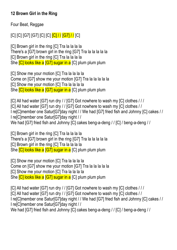## **12 Brown Girl in the Ring**

Four Beat, Reggae

[C] [C] [G7] [G7] [C] [C] [C] / / [G7] / / [C]

[C] Brown girl in the ring [C] Tra la la la la There's a [G7] brown girl in the ring [G7] Tra la la la la la [C] Brown girl in the ring [C] Tra la la la la She [C] looks like a [G7] sugar in a [C] plum plum plum

[C] Show me your motion [C] Tra la la la la Come on [G7] show me your motion [G7] Tra la la la la la [C] Show me your motion [C] Tra la la la la She **[C] looks like a [G7] sugar in a** [C] plum plum plum

[C] All had water [G7] run dry / / [G7] Got nowhere to wash my [C] clothes / / / [C] All had water [G7] run dry / / [G7] Got nowhere to wash my [C] clothes / / I re[C]member one Satur[G7]day night / / We had [G7] fried fish and Johnny [C] cakes / / I re[C]member one Satur[G7]day night / / We had [G7] fried fish and Johnny [C] cakes beng-a-deng / / [C] / beng-a-deng / /

[C] Brown girl in the ring [C] Tra la la la la There's a [G7] brown girl in the ring [G7] Tra la la la la la [C] Brown girl in the ring [C] Tra la la la la She **[C] looks like a [G7] sugar in a** [C] plum plum plum

[C] Show me your motion [C] Tra la la la la Come on [G7] show me your motion [G7] Tra la la la la la [C] Show me your motion [C] Tra la la la la She **[C] looks like a [G7] sugar in a** [C] plum plum plum

[C] All had water [G7] run dry / / [G7] Got nowhere to wash my [C] clothes / / / [C] All had water [G7] run dry / / [G7] Got nowhere to wash my [C] clothes / / I re[C]member one Satur[G7]day night / / We had [G7] fried fish and Johnny [C] cakes / / I re[C]member one Satur[G7]day night / / We had [G7] fried fish and Johnny [C] cakes beng-a-deng / / [C] / beng-a-deng / /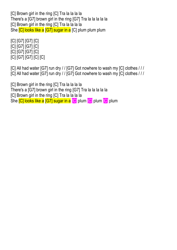[C] Brown girl in the ring [C] Tra la la la la There's a [G7] brown girl in the ring [G7] Tra la la la la la [C] Brown girl in the ring [C] Tra la la la la She [C] looks like a [G7] sugar in a [C] plum plum plum

[C] [G7] [G7] [C] [C] [G7] [G7] [C] [C] [G7] [G7] [C] [C] [G7] [G7] [C] [C]

[C] All had water [G7] run dry / / [G7] Got nowhere to wash my [C] clothes / / / [C] All had water [G7] run dry / / [G7] Got nowhere to wash my [C] clothes / / /

[C] Brown girl in the ring [C] Tra la la la la There's a [G7] brown girl in the ring [G7] Tra la la la la la [C] Brown girl in the ring [C] Tra la la la la She [C] looks like a [G7] sugar in a [C] plum [C] plum [C] plum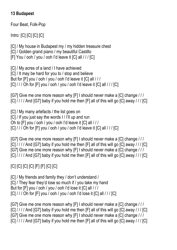## **13 Budapest**

Four Beat, Folk-Pop

Intro: [C] [C] [C] [C]

[C] / My house in Budapest my / my hidden treasure chest [C] / Golden grand piano / my beautiful Castillo [F] You / ooh / you / ooh I'd leave it [C] all / / / [C]

[C] / My acres of a land / I have achieved [C] / It may be hard for you to / stop and believe But for [F] you / ooh / you / ooh I'd leave it [C] all / / / [C] / / / Oh for [F] you / ooh / you / ooh I'd leave it [C] all / / / [C]

[G7] Give me one more reason why [F] I should never make a [C] change / / /  $[C]///And [G7]$  baby if you hold me then  $[F]$  all of this will go  $[C]$  away  $// [C]$ 

[C] / My many artefacts / the list goes on [C] / If you just say the words I / I'll up and run Oh to [F] you / ooh / you / ooh I'd leave it [C] all / / / [C] / / / Oh for [F] you / ooh / you / ooh I'd leave it [C] all / / / [C]

[G7] Give me one more reason why [F] I should never make a [C] change / / / [C] / / / / And [G7] baby if you hold me then [F] all of this will go [C] away / / / [C] [G7] Give me one more reason why [F] I should never make a [C] change / / / [C] / / / / And [G7] baby if you hold me then [F] all of this will go [C] away / / / [C]

[C] [C] [C] [C] [F] [F] [C] [C]

[C] / My friends and family they / don't understand / [C] / They fear they'd lose so much if / you take my hand But for [F] you / ooh / you / ooh I'd lose it [C] all / / / [C] / / / Oh for [F] you / ooh / you / ooh I'd lose it [C] all / / / [C]

[G7] Give me one more reason why [F] I should never make a [C] change / / /  $[C]///And [G7]$  baby if you hold me then  $[F]$  all of this will go  $[C]$  away  $// [C]$ [G7] Give me one more reason why [F] I should never make a [C] change / / /  $[C]///And [G7]$  baby if you hold me then  $[F]$  all of this will go  $[C]$  away  $// [C]$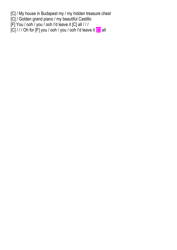[C] / My house in Budapest my / my hidden treasure chest [C] / Golden grand piano / my beautiful Castillo [F] You / ooh / you / ooh I'd leave it [C] all / / /  $[\text{C}]$  / / / Oh for  $[\text{F}]$  you / ooh / you / ooh I'd leave it  $[\text{C}]$  all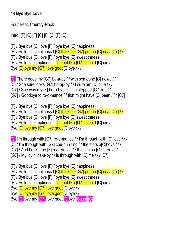## **14 Bye Bye Love**

Four Beat, Country-Rock

Intro: [F] [C] [F] [C] [F] [C] [F] [C]

[F] / Bye bye [C] love [F] / bye bye [C] happiness [F] / Hello [C] loneliness I [C] think I'm [G7] gonna [C] cry / [C7] / / [F] / Bye bye [C] love [F] / bye bye [C] sweet caress [F] / Hello [C] emptiness I **[C] feel like [G7] I could** [C] die / / Bye **[C] bye my [G7] love good** [C] bye ///

 $|C|$  There goes my [G7] ba-a-by // with someone [C] new /// [C] / She sure looks [G7] ha-ap-py / / I sure am [C] blue / / / [C7] / She was my [F] ba-a-by / / till he stepped [G7] in / / / [G7] / Goodbye to ro-o-mance // that might have [C] been /// [C7]

[F] / Bye bye [C] love [F] / bye bye [C] happiness [F] / Hello [C] loneliness I [C] think I'm [G7] gonna [C] cry / [C7] / / [F] / Bye bye [C] love [F] / bye bye [C] sweet caress [F] / Hello [C] emptiness I [C] feel like [G7] I could [C] die / / Bye **[C] bye my [G7] love good** [C] bye ///

 $\overline{C}$  I'm through with [G7] ro-o-mance // I'm through with [C] love /// [C] / I'm through with [G7] cou-oun-ting / / the stars al Clbove / / / [C7] / And here's the [F] rea-ea-son / / that I'm so [G7] free / / / [G7] / My lovin' ba-a-by / / is through with [C] me / / / [C7]

[F] / Bye bye [C] love [F] / bye bye [C] happiness [F] / Hello [C] loneliness I [C] think I'm [G7] gonna [C] cry / [C7] / / [F] / Bye bye [C] love [F] / bye bye [C] sweet caress [F] / Hello [C] emptiness I [C] feel like [G7] I could [C] die / / Bye **[C] bye my [G7] love good** [C] bye / / Bye **[C] bye my [G7] love good** [C] bye // Bye **[C]** bye my **[G7]** love good **[C]** bye **[Csus] [C]**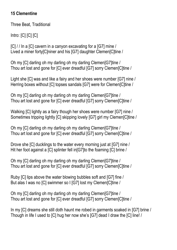## **15 Clementine**

Three Beat, Traditional

Intro: [C] [C] [C]

[C] / / In a [C] cavern in a canyon excavating for a [G7] mine / Lived a miner forty[C]niner and his [G7] daughter Clemen[C]tine /

Oh my [C] darling oh my darling oh my darling Clemen[G7]tine / Thou art lost and gone for [C] ever dreadful [G7] sorry Clemen[C]tine /

Light she [C] was and like a fairy and her shoes were number [G7] nine / Herring boxes without [C] topses sandals [G7] were for Clemen[C]tine /

Oh my [C] darling oh my darling oh my darling Clemen[G7]tine / Thou art lost and gone for [C] ever dreadful [G7] sorry Clemen[C]tine /

Walking [C] lightly as a fairy though her shoes were number [G7] nine / Sometimes tripping lightly [C] skipping lovely [G7] girl my Clemen[C]tine /

Oh my [C] darling oh my darling oh my darling Clemen[G7]tine / Thou art lost and gone for [C] ever dreadful [G7] sorry Clemen[C]tine /

Drove she [C] ducklings to the water every morning just at [G7] nine / Hit her foot against a [C] splinter fell in [G7] to the foaming [C] brine /

Oh my [C] darling oh my darling oh my darling Clemen[G7]tine / Thou art lost and gone for [C] ever dreadful [G7] sorry Clemen[C]tine /

Ruby [C] lips above the water blowing bubbles soft and [G7] fine / But alas I was no [C] swimmer so I [G7] lost my Clemen[C]tine /

Oh my [C] darling oh my darling oh my darling Clemen[G7]tine / Thou art lost and gone for [C] ever dreadful [G7] sorry Clemen[C]tine /

In my [C] dreams she still doth haunt me robed in garments soaked in [G7] brine / Though in life I used to [C] hug her now she's [G7] dead I draw the [C] line! /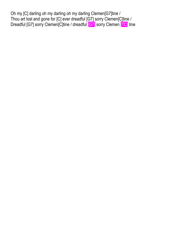Oh my [C] darling oh my darling oh my darling Clemen[G7]tine / Thou art lost and gone for [C] ever dreadful [G7] sorry Clemen[C]tine / Dreadful [G7] sorry Clemen[C]tine / dreadful **[G7]** sorry Clemen **[TC]** tine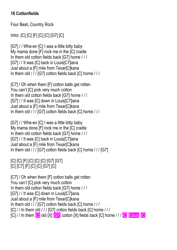## **16 Cottonfields**

Four Beat, Country Rock

Intro: [C] [C] [F] [C] [C] [G7] [C]

[G7] / / Whe-en [C] I was a little bitty baby My mama done [F] rock me in the [C] cradle In them old cotton fields back [G7] home / / / [G7] / / It was [C] back in Louis[C7]iana Just about a [F] mile from Texar[C]kana In them old / / / [G7] cotton fields back [C] home / / /

[C7] / Oh when them [F] cotton balls get rotten You can't [C] pick very much cotton In them old cotton fields back [G7] home / / / [G7] / / It was [C] down in Louis[C7]iana Just about a [F] mile from Texar[C]kana In them old / / / [G7] cotton fields back [C] home / / /

[G7] / / Whe-en [C] I was a little bitty baby My mama done [F] rock me in the [C] cradle In them old cotton fields back [G7] home / / / [G7] / / It was [C] back in Louis[C7]iana Just about a [F] mile from Texar[C]kana In them old / / / [G7] cotton fields back [C] home / / / [G7]

[C] [C] [F] [C] [C] [C] [G7] [G7] [C] [C7] [F] [C] [C] [G7] [C]

[C7] / Oh when them [F] cotton balls get rotten You can't [C] pick very much cotton In them old cotton fields back [G7] home / / / [G7] / / It was [C] down in Louis[C7]iana Just about a [F] mile from Texar[C]kana In them old / / / [G7] cotton fields back [C] home / / / [C] / / In them old / / / [G7] cotton fields back [C] home / / /  $[C]$  / / In them  $[C]$  old  $[X]$   $[G7]$  cotton  $[X]$  fields back  $[C]$  home / / /  $[C]$   $[C]$   $[C]$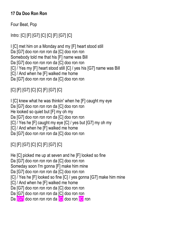## **17 Da Doo Ron Ron**

Four Beat, Pop

Intro: [C] [F] [G7] [C] [C] [F] [G7] [C]

I [C] met him on a Monday and my [F] heart stood still Da [G7] doo ron ron ron da [C] doo ron ron Somebody told me that his [F] name was Bill Da [G7] doo ron ron ron da [C] doo ron ron [C] / Yes my [F] heart stood still [C] / yes his [G7] name was Bill [C] / And when he [F] walked me home Da [G7] doo ron ron ron da [C] doo ron ron

[C] [F] [G7] [C] [C] [F] [G7] [C]

I [C] knew what he was thinkin' when he [F] caught my eye Da [G7] doo ron ron ron da [C] doo ron ron He looked so quiet but [F] my oh my Da [G7] doo ron ron ron da [C] doo ron ron [C] / Yes he [F] caught my eye [C] / yes but [G7] my oh my [C] / And when he [F] walked me home Da [G7] doo ron ron ron da [C] doo ron ron

[C] [F] [G7] [C] [C] [F] [G7] [C]

He [C] picked me up at seven and he [F] looked so fine Da [G7] doo ron ron ron da [C] doo ron ron Someday soon I'm gonna [F] make him mine Da [G7] doo ron ron ron da [C] doo ron ron [C] / Yes he [F] looked so fine [C] / yes gonna [G7] make him mine [C] / And when he [F] walked me home Da [G7] doo ron ron ron da [C] doo ron ron Da [G7] doo ron ron ron da [C] doo ron ron Da **[G7]** doo ron ron ron da **[C]** doo ron **[C]** ron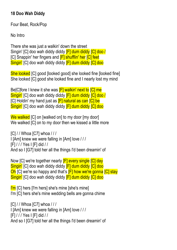#### **18 Doo Wah Diddy**

Four Beat, Rock/Pop

No Intro

There she was just a walkin' down the street Singin' [C] doo wah diddy diddy [F] dum diddy [C] doo / [C] Snappin' her fingers and **[F] shufflin' her [C] feet** Singin' [C] doo wah diddy diddy **[F] dum diddy [C] doo** 

She looked [C] good [looked good] she looked fine [looked fine] She looked [C] good she looked fine and I nearly lost my mind

Be[C]fore I knew it she was [F] walkin' next to [C] me Singin' [C] doo wah diddy diddy [F] dum diddy [C] doo / [C] Holdin' my hand just as **[F] natural as can [C] be** Singin' [C] doo wah diddy diddy **[F] dum diddy [C] doo** 

We walked [C] on [walked on] to my door [my door] We walked [C] on to my door then we kissed a little more

[C] / / Whoa [C7] whoa / / / I [Am] knew we were falling in [Am] love / / / [F] / / / Yes I [F] did / / And so I [G7] told her all the things I'd been dreamin' of

Now [C] we're together nearly **[F] every single [C] day** Singin' [C] doo wah diddy diddy **[F] dum diddy [C] doo** Oh ICI we're so happy and that's **IFI how we're gonna ICI stay** Singin' [C] doo wah diddy diddy [F] dum diddy [C] doo

I'm [C] hers II'm hers] she's mine [she's mine] I'm [C] hers she's mine wedding bells are gonna chime

[C] / / Whoa [C7] whoa / / / I [Am] knew we were falling in [Am] love / / / [F] / / / Yes I [F] did / / And so I [G7] told her all the things I'd been dreamin' of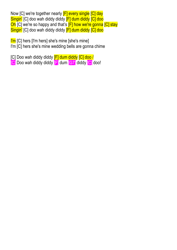Now [C] we're together nearly [F] every single [C] day Singin' [C] doo wah diddy diddy [F] dum diddy [C] doo Oh [C] we're so happy and that's **[F] how we're gonna [C] stay** Singin' [C] doo wah diddy diddy **[F] dum diddy [C] doo** 

I'm [C] hers [I'm hers] she's mine [she's mine] I'm [C] hers she's mine wedding bells are gonna chime

[C] Doo wah diddy diddy [F] dum diddy [C] doo /

[C] Doo wah diddy diddy [F] dum [G7] diddy [C] doo!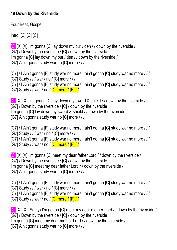## **19 Down by the Riverside**

Four Beat, Gospel

Intro: [C] [C] [C]

 $|C|$  [X] [X] I'm gonna [C] lay down my bur / den / / down by the riverside / [G7] / Down by the riverside / [C] / down by the riverside I'm gonna [C] lay down my bur / den / / down by the riverside / [G7] Ain't gonna study war no [C] more / / /

[C7] / I Ain't gonna [F] study war no more I ain't gonna [C] study war no more / / / [G7] Study / / / war / no / [C] more / / / [C7] / I Ain't gonna [F] study war no more I ain't gonna [C] study war no more / / / [G7] Study / / war / no / [C] more / [F] / /

 $|C|$  [X] [X] I'm gonna [C] lay down my sword & shield // down by the riverside / [G7] / Down by the riverside / [C] / down by the riverside I'm gonna [C] lay down my sword & shield / / down by the riverside / [G7] Ain't gonna study war no [C] more / / /

[C7] / I Ain't gonna [F] study war no more I ain't gonna [C] study war no more / / / [G7] Study / / / war / no / [C] more / / / [C7] / I Ain't gonna [F] study war no more I ain't gonna [C] study war no more / / / [G7] Study / / war / no / [C] more / [F] / /

[C] [X] [X] I'm gonna [C] meet my dear father Lord / / down by the riverside / [G7] / Down by the riverside / [C] / down by the riverside I'm gonna [C] meet my dear father Lord / / down by the riverside / [G7] Ain't gonna study war no [C] more / / /

[C7] / I Ain't gonna [F] study war no more I ain't gonna [C] study war no more / / / [G7] Study / / / war / no / [C] more / / / [C7] / I Ain't gonna [F] study war no more I ain't gonna [C] study war no more / / / [G7] Study // war / no /  $|C|$  more /  $|F|$  //

 $|C|$  [X] [X] (Softly) I'm gonna [C] meet my dear mother Lord // down by the riverside / [G7] / Down by the riverside / [C] / down by the riverside I'm gonna [C] meet my dear mother Lord / / down by the riverside / [G7] Ain't gonna study war no [C] more / / /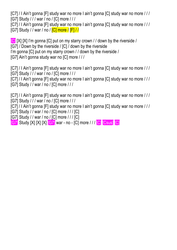[C7] / I Ain't gonna [F] study war no more I ain't gonna [C] study war no more / / / [G7] Study / / / war / no / [C] more / / /

[C7] / I Ain't gonna [F] study war no more I ain't gonna [C] study war no more / / / [G7] Study // war / no /  $|C|$  more /  $|F|$  //

 $\left| \mathbf{C} \right|$  [X]  $\left| \mathbf{X} \right|$  I'm gonna  $\left| \mathbf{C} \right|$  put on my starry crown // down by the riverside / [G7] / Down by the riverside / [C] / down by the riverside I'm gonna [C] put on my starry crown / / down by the riverside / [G7] Ain't gonna study war no [C] more / / /

[C7] / I Ain't gonna [F] study war no more I ain't gonna [C] study war no more / / / [G7] Study / / / war / no / [C] more / / / [C7] / I Ain't gonna [F] study war no more I ain't gonna [C] study war no more / / /

[G7] Study / / war / no / [C] more / / /

[C7] / I Ain't gonna [F] study war no more I ain't gonna [C] study war no more / / / [G7] Study / / / war / no / [C] more / / /

[C7] / I Ain't gonna [F] study war no more I ain't gonna [C] study war no more / / /

[G7] Study / / war / no / [C] more / / / [C]

[G7] Study / / war / no / [C] more / / / [C]

[G7] Study [X] [X] [X] [G7] war - no - [C] more / / / [C] [Csus] [C]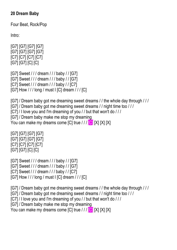#### **20 Dream Baby**

Four Beat, Rock/Pop

Intro:

[G7] [G7] [G7] [G7] [G7] [G7] [G7] [G7] [C7] [C7] [C7] [C7] [G7] [G7] [C] [C]

[G7] Sweet / / / dream / / / baby / / [G7] [G7] Sweet / / / dream / / / baby / / [G7] [C7] Sweet / / / dream / / / baby / / [C7] [G7] How / / / long / must I [C] dream / / / [C]

[G7] / Dream baby got me dreaming sweet dreams / / the whole day through / / / [G7] / Dream baby got me dreaming sweet dreams / / night time too / / / [C7] / I love you and I'm dreaming of you / / but that won't do / / / [G7] / Dream baby make me stop my dreaming You can make my dreams come [C] true / / / **[C]** [X] [X] [X]

[G7] [G7] [G7] [G7] [G7] [G7] [G7] [G7] [C7] [C7] [C7] [C7] [G7] [G7] [C] [C]

[G7] Sweet / / / dream / / / baby / / [G7]

[G7] Sweet / / / dream / / / baby / / [G7]

[C7] Sweet / / / dream / / / baby / / [C7]

[G7] How / / / long / must I [C] dream / / / [C]

[G7] / Dream baby got me dreaming sweet dreams / / the whole day through / / /

[G7] / Dream baby got me dreaming sweet dreams / / night time too / / /

[C7] / I love you and I'm dreaming of you / / but that won't do / / /

[G7] / Dream baby make me stop my dreaming

You can make my dreams come [C] true / / / **[C]** [X] [X] [X]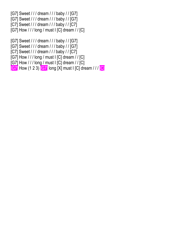- [G7] Sweet / / / dream / / / baby / / [G7]
- [G7] Sweet / / / dream / / / baby / / [G7]
- [C7] Sweet / / / dream / / / baby / / [C7]
- [G7] How / / / long / must I [C] dream / / [C]
- [G7] Sweet / / / dream / / / baby / / [G7]
- [G7] Sweet / / / dream / / / baby / / [G7]
- [C7] Sweet / / / dream / / / baby / / [C7]
- [G7] How / / / long / must I [C] dream / / [C]
- [G7] How / / / long / must I [C] dream / / [C]
- **[G7]** How (1 2 3) **[G7]** long [X] must I [C] dream / / / **[C]**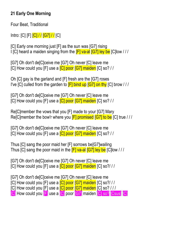## **21 Early One Morning**

Four Beat, Traditional

Intro: [C] [F] [C] / / [G7] / / [C]

[C] Early one morning just [F] as the sun was [G7] rising I [C] heard a maiden singing from the  $[**F**]$  va-al  $[**G**$ <sup>7</sup>] ley be  $[**C**]$ low ///

[G7] Oh don't de[C]ceive me [G7] Oh never [C] leave me [C] How could you [F] use a **[C] poor [G7] maiden** [C] so? //

Oh [C] gay is the garland and [F] fresh are the [G7] roses I've [C] culled from the garden to  $[**F**]$  bind up  $[**G**7]$  on thy  $[**C**]$  brow  $//$ 

[G7] Oh don't de[C]ceive me [G7] Oh never [C] leave me [C] How could you [F] use a **[C] poor [G7] maiden** [C] so? //

Re[C]member the vows that you [F] made to your [G7] Mary Resolmember the bow'r where you **[F] promised [G7] to be** [C] true ///

[G7] Oh don't de[C]ceive me [G7] Oh never [C] leave me [C] How could you [F] use a [C] poor [G7] maiden [C] so? //

Thus [C] sang the poor maid her [F] sorrows be[G7]wailing Thus [C] sang the poor maid in the **[F] va-al [G7] ley be** [C]low ///

[G7] Oh don't de[C]ceive me [G7] Oh never [C] leave me [C] How could you [F] use a [C] poor [G7] maiden [C] so?///

[G7] Oh don't de[C]ceive me [G7] Oh never [C] leave me

[C] How could you [F] use a [C] poor [G7] maiden [C] so?///

[C] How could you [F] use a  $\overline{C}$  poor  $\overline{G}$ ] maiden  $\overline{C}$  so? ///

[C] How could you [F] use a [C] poor [G7] maiden [C] so? [Csus] [C]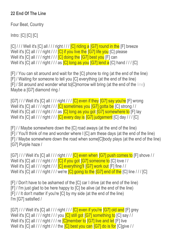## **22 End Of The Line**

Four Beat, Country

Intro: [C] [C] [C]

 $\lceil$  C] / / / Well it's  $\lceil$ C] all / / / right / / /  $\lceil$  C] riding a  $\lceil$  G7] round in the  $\lceil$  F] breeze Well it's [C] all / / / right / / / **[C] if you live the [G7] life you** [C] please Well it's [C] all /// right /// **[C] doing the [G7] best you** [F] can Well it's [C] all /// right /// as [C] long as you [G7] lend a [C] hand /// [C]

[F] / You can sit around and wait for the [C] phone to ring (at the end of the line) [F] / Waiting for someone to tell you [C] everything (at the end of the line) [F] / Sit around and wonder what to[C]morrow will bring (at the end of the line) Maybe a [G7] diamond ring /

[G7] / / / Well it's [C] all / / / right / / / **[C] even if they [G7] say you're** [F] wrong Well it's [C] all / / / right / / / **[C] sometimes you [G7] gotta be** [C] strong / / Well it's [C] all /// right /// as **[C] long as you got [G7] somewhere to** [F] lay Well it's [C] all /// right /// [C] every day is [G7] judgement [C] day /// [C]

[F] / / Maybe somewhere down the [C] road aways (at the end of the line) [F] / You'll think of me and wonder where I [C] am these days (at the end of the line) [F] / Maybe somewhere down the road when some[C]body plays (at the end of the line) [G7] Purple haze /

[G7] / / / Well it's [C] all / / / right / / / **[C] even when [G7] push comes to** [F] shove / / Well it's [C] all /// right /// [C] if you got [G7] someone to [C] love // Well it's [C] all /// right /// **[C] everything'll [G7] work out** [F] fine // Well it's [C] all /// right /// we're **[C] going to the [G7] end of the** [C] line /// [C]

[F] / Don't have to be ashamed of the [C] car I drive (at the end of the line) [F] / I'm just glad to be here happy to [C] be alive (at the end of the line) [F] / / It don't matter if you're [C] by my side (at the end of the line) I'm [G7] satisfied /

 $[G7]$  / / Well it's  $[G]$  all / / / right / /  $[G]$  even if you're  $[G7]$  old and  $[F]$  grey Well it's [C] all / / / right / / / you **[C] still got [G7] something to** [C] say / / Well it's [C] all / / / right / / / re **[C]member to [G7] live and let** [F] live Well it's [C] all / / / right / / / the **[C] best you can [G7] do is for** [C]give / /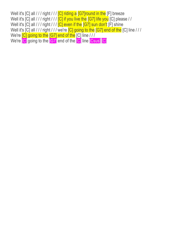Well it's [C] all / / / right / / / [C] riding a [G7]round in the [F] breeze Well it's [C] all / / / right / / / [C] if you live the [G7] life you [C] please / / Well it's [C] all /// right /// **[C] even if the [G7] sun don't** [F] shine Well it's [C] all /// right /// we're [C] going to the [G7] end of the [C] line /// We're [C] going to the [G7] end of the [C] line / / / We're [C] going to the [G7] end of the [C] line [Csus] [C]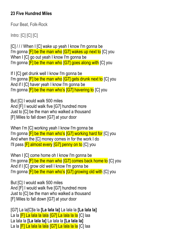#### **23 Five Hundred Miles**

Four Beat, Folk-Rock

Intro: [C] [C] [C]

[C] / / / When I [C] wake up yeah I know I'm gonna be I'm gonna **[F] be the man who [G7] wakes up next to** [C] you When I [C] go out yeah I know I'm gonna be I'm gonna  $[F]$  be the man who  $[G7]$  goes along with  $[C]$  you

If I ICI get drunk well I know I'm gonna be I'm gonna  $[**F**]$  be the man who  $[**G**7]$  gets drunk next to  $[C]$  you And if I [C] haver yeah I know I'm gonna be I'm gonna **[F] be the man who's [G7] havering to** [C] you

But [C] I would walk 500 miles And [F] I would walk five [G7] hundred more Just to [C] be the man who walked a thousand [F] Miles to fall down [G7] at your door

When I'm [C] working yeah I know I'm gonna be I'm gonna **[F] be the man who's [G7] working hard for** [C] you And when the [C] money comes in for the work I do I'll pass **[F] almost every [G7] penny on to** [C] you

When I [C] come home oh I know I'm gonna be I'm gonna **[F] be the man who [G7] comes back home to** [C] you And if I [C] grow old well I know I'm gonna be I'm gonna  $[F]$  be the man who's  $[G7]$  growing old with  $[C]$  you

But [C] I would walk 500 miles And [F] I would walk five [G7] hundred more Just to [C] be the man who walked a thousand [F] Miles to fall down [G7] at your door

[G7] La la[C]la la **[La lala la]** La lala la **[La lala la]** La la <mark>[F] La lala la lala [G7] La lala la la</mark> [C] laa La lala la **[La lala la]** La lala la **[La lala la]** La la <mark>[F] La lala la lala [G7] La lala la la</mark> [C] laa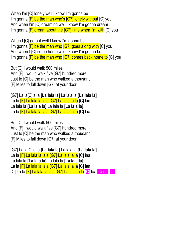When I'm [C] lonely well I know I'm gonna be I'm gonna **[F] be the man who's [G7] lonely without** [C] you And when I'm [C] dreaming well I know I'm gonna dream I'm gonna **[F] dream about the [G7] time when I'm with** [C] you

When I [C] go out well I know I'm gonna be I'm gonna  $[**F**]$  be the man who  $[**G**7]$  goes along with  $[**C**]$  you And when I [C] come home well I know I'm gonna be I'm gonna **[F] be the man who [G7] comes back home to** [C] you

But [C] I would walk 500 miles And [F] I would walk five [G7] hundred more Just to [C] be the man who walked a thousand [F] Miles to fall down [G7] at your door

[G7] La la[C]la la **[La lala la]** La lala la **[La lala la]** La la <mark>[F] La lala la lala [G7] La lala la la</mark> [C] laa La lala la **[La lala la]** La lala la **[La lala la]** La la **[F] La lala la lala [G7] La lala la la** [C] laa

But [C] I would walk 500 miles And [F] I would walk five [G7] hundred more Just to [C] be the man who walked a thousand [F] Miles to fall down [G7] at your door

[G7] La la[C]la la **[La lala la]** La lala la **[La lala la]** La la <mark>[F] La lala la lala [G7] La lala la la</mark> [C] laa La lala la **[La lala la]** La lala la **[La lala la]** La la <mark>[F] La lala la lala [G7] La lala la la</mark> [C] laa [C] La la [F] La lala la lala [G7] La lala la la [C] laa [Csus] [C]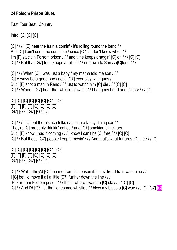## **24 Folsom Prison Blues**

Fast Four Beat, Country

Intro: [C] [C] [C]

[C] / / / I [C] hear the train a comin' / it's rolling round the bend / / And [C] I ain't seen the sunshine / since [C7] / I don't know when / / I'm [F] stuck in Folsom prison / / / and time keeps draggin' [C] on / / / [C] [C] [C] / / But that [G7] train keeps a rollin' / / / on down to San An[C]tone / / /

[C] / / / When [C] I was just a baby / my mama told me son / / / [C] Always be a good boy / don't [C7] ever play with guns / But I [F] shot a man in Reno /// just to watch him [C] die /// [C] [C] [C] / / When I [G7] hear that whistle blowin' / / / I hang my head and [C] cry / / / [C]

[C] [C] [C] [C] [C] [C] [C7] [C7] [F] [F] [F] [F] [C] [C] [C] [C] [G7] [G7] [G7] [G7] [C]

[C] / / / I [C] bet there's rich folks eating in a fancy dining car / / They're [C] probably drinkin' coffee / and [C7] smoking big cigars But I [F] know I had it coming / / / I know I can't be [C] free / / / [C] [C] [C] / / But those [G7] people keep a movin' / / / And that's what tortures [C] me / / / [C]

[C] [C] [C] [C] [C] [C] [C7] [C7] [F] [F] [F] [F] [C] [C] [C] [C] [G7] [G7] [G7] [G7] [C]

[C] / / Well if they'd [C] free me from this prison if that railroad train was mine / / I [C] bet I'd move it all a little [C7] further down the line / / / [F] Far from Folsom prison / / / that's where I want to [C] stay / / / [C] [C] [C] / / And I'd [G7] let that lonesome whistle / / / blow my blues a [C] way / / / [C] [G7] [C]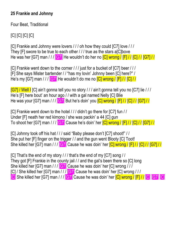## **25 Frankie and Johnny**

Four Beat, Traditional

[C] [C] [C] [C]

[C] Frankie and Johnny were lovers / / / oh how they could [C7] love / / / They [F] swore to be true to each other / / / true as the stars a[C]bove He was her [G7] man / / / **[G7]** He wouldn't do her no **[C] wrong / [F] / / [C] / / [G7] / /** 

[C] Frankie went down to the corner / / / just for a bucket of [C7] beer / / / [F] She says Mister bartender / / "has my lovin' Johnny been [C] here?" / He's my [G7] man / / /  $[G7]$  He wouldn't do me no  $[G]$  wrong /  $[F]$  / /  $[G]$  / /

[G7] / Well I [C] ain't gonna tell you no story / / / ain't gonna tell you no [C7] lie / / / He's [F] here bout' an hour ago / / with a gal named Nelly [C] Blie He was your [G7] man / / /  $[G7]$  But he's doin' you  $[G]$  wrong /  $[F]$  / /  $[G]$  / /  $[G7]$  / /

[C] Frankie went down to the hotel / / / didn't go there for [C7] fun / / Under [F] neath her red kimono / she was packin' a 44 [C] gun To shoot her [G7] man / / / [G7] Cause he's doin' her [C] wrong / [F] / / [C] / / [G7] / /

[C] Johnny took off his hat / / / said "Baby please don't [C7] shoot!" / / She put her [F] finger on the trigger / / and the gun went Blooty [C] Toot! She killed her [G7] man / / / [G7] Cause he was doin' her [C] wrong / [F] / / [C] / / [G7] / /

[C] That's the end of my story / / / that's the end of my [C7] song / / They got [F] Frankie in the county jail / / and the gal's been there so [C] long She killed her [G7] man / / / [G7] Cause he was doin' her [C] wrong / / / [C] / She killed her [G7] man / / / **[G7]** Cause he was doin' her [C] wrong / / / [C] She killed her [G7] man / / / [G7] Cause he was doin' her [C] wrong / [F] / / [C] [G7] [C]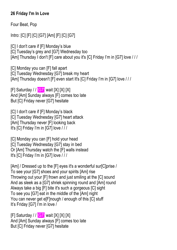## **26 Friday I'm In Love**

Four Beat, Pop

Intro: [C] [F] [C] [G7] [Am] [F] [C] [G7]

[C] I don't care if [F] Monday's blue [C] Tuesday's grey and [G7] Wednesday too [Am] Thursday I don't [F] care about you it's [C] Friday I'm in [G7] love / / /

[C] Monday you can [F] fall apart [C] Tuesday Wednesday [G7] break my heart [Am] Thursday doesn't [F] even start It's [C] Friday I'm in [G7] love / / /

[F] Saturday / /  $[G7]$  wait [X] [X] [X] And [Am] Sunday always [F] comes too late But [C] Friday never [G7] hesitate

[C] I don't care if [F] Monday's black [C] Tuesday Wednesday [G7] heart attack [Am] Thursday never [F] looking back It's [C] Friday I'm in [G7] love / / /

[C] Monday you can [F] hold your head [C] Tuesday Wednesday [G7] stay in bed Or [Am] Thursday watch the [F] walls instead It's [C] Friday I'm in [G7] love / / /

[Am] / Dressed up to the [F] eyes it's a wonderful sur[C]prise / To see your [G7] shoes and your spirits [Am] rise Throwing out your [F] frown and just smiling at the [C] sound And as sleek as a [G7] shriek spinning round and [Am] round Always take a big [F] bite it's such a gorgeous [C] sight To see you [G7] eat in the middle of the [Am] night You can never get e[F]nough / enough of this [C] stuff It's Friday [G7] I'm in love /

[F] Saturday  $1/\sqrt{G7}$  wait [X] [X] [X] And [Am] Sunday always [F] comes too late But [C] Friday never [G7] hesitate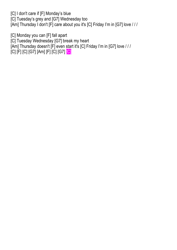[C] I don't care if [F] Monday's blue

[C] Tuesday's grey and [G7] Wednesday too

[Am] Thursday I don't [F] care about you it's [C] Friday I'm in [G7] love / / /

[C] Monday you can [F] fall apart

[C] Tuesday Wednesday [G7] break my heart

[Am] Thursday doesn't [F] even start it's [C] Friday I'm in [G7] love / / /

[C] [F] [C] [G7] [Am] [F] [C] [G7] [C]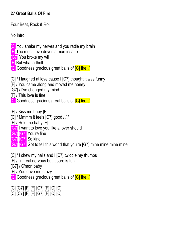## **27 Great Balls Of Fire**

Four Beat, Rock & Roll

No Intro

- **C** You shake my nerves and you rattle my brain
- **[F]** Too much love drives a man insane
- **[G7]** You broke my will
- **F** But what a thrill
- **C** Goodness gracious great balls of **C** fire!

[C] / I laughed at love cause I [C7] thought it was funny

[F] / You came along and moved me honey

[G7] / I've changed my mind

- [F] / This love is fine
- **[C]** Goodness gracious great balls of **[C] fire!**
- [F] / Kiss me baby [F]
- [C] / Mmmm it feels [C7] good / / /
- [F] / Hold me baby [F]
- **[G7]** I want to love you like a lover should
- **[G7] G7]** You're fine
- [G7] [G7] So kind
- **[G7] Got to tell this world that you're [G7] mine mine mine mine**

[C] / I chew my nails and I [C7] twiddle my thumbs

[F] / I'm real nervous but it sure is fun

[G7] / C'mon baby

[F] / You drive me crazy

**[C]** Goodness gracious great balls of **[C] fire!** 

[C] [C7] [F] [F] [G7] [F] [C] [C] [C] [C7] [F] [F] [G7] [F] [C] [C]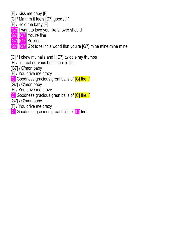[F] / Kiss me baby [F]

[C] / Mmmm it feels [C7] good / / /

[F] / Hold me baby [F]

[G7] I want to love you like a lover should

- **[G7] G7]** You're fine
- [G7] **[G7]** So kind
- [G7] [G7] Got to tell this world that you're [G7] mine mine mine mine

[C] / I chew my nails and I [C7] twiddle my thumbs

[F] / I'm real nervous but it sure is fun

[G7] / C'mon baby

[F] / You drive me crazy

[C] Goodness gracious great balls of [C] fire! /

[G7] / C'mon baby

- [F] / You drive me crazy
- [C] Goodness gracious great balls of [C] fire! /
- [G7] / C'mon baby
- [F] / You drive me crazy
- **C** Goodness gracious great balls of **C** fire!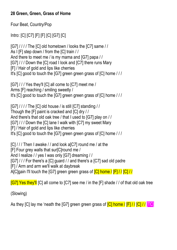## **28 Green, Green, Grass of Home**

Four Beat, Country/Pop

Intro: [C] [C7] [F] [F] [C] [G7] [C]

[G7] / / / / The [C] old hometown / looks the [C7] same / / As I [F] step down / from the [C] train / / And there to meet me / is my mama and [G7] papa / / [G7] / / / Down the [C] road I look and [C7] there runs Mary [F] / Hair of gold and lips like cherries It's [C] good to touch the [G7] green green grass of [C] home / / /

[G7] / / / Yes they'll [C] all come to [C7] meet me / Arms [F] reaching / smiling sweetly / It's [C] good to touch the [G7] green green grass of [C] home / / /

[G7] / / / / The [C] old house / is still [C7] standing / / Though the [F] paint is cracked and [C] dry / / And there's that old oak tree / that I used to [G7] play on / / [G7] / / / Down the [C] lane I walk with [C7] my sweet Mary [F] / Hair of gold and lips like cherries It's [C] good to touch the [G7] green green grass of [C] home / / /

[C] / / / Then I awake / / and look a[C7] round me / at the [F] Four grey walls that sur[C]round me / And I realize / / yes I was only [G7] dreaming / / [G7] / / / For there's a [C] guard / / and there's a [C7] sad old padre [F] / Arm and arm we'll walk at daybreak A[C]gain I'll touch the [G7] green green grass of  $|C|$  home /  $|F|$  /  $|C|$  / /

[G7] Yes they'll [C] all come to [C7] see me / in the [F] shade / / of that old oak tree

(Slowing)

As they [C] lay me 'neath the [G7] green green grass of  $[Cl]$  home  $/$   $[Fl / / [Cl] / / [TC]$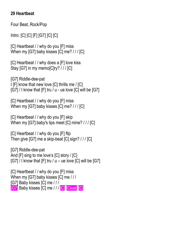#### **29 Heartbeat**

Four Beat, Rock/Pop

Intro: [C] [C] [F] [G7] [C] [C]

[C] Heartbeat / / why do you [F] miss When my [G7] baby kisses [C] me? /// [C]

[C] Heartbeat / / why does a [F] love kiss Stay [G7] in my memo[C]ry? /// [C]

[G7] Riddle-dee-pat I [F] know that new love [C] thrills me / [C] [G7] / I know that [F] tru / u - ue love [C] will be [G7]

[C] Heartbeat // why do you [F] miss When my [G7] baby kisses [C] me? /// [C]

[C] Heartbeat / / why do you [F] skip When my [G7] baby's lips meet [C] mine? /// [C]

[C] Heartbeat / / why do you [F] flip Then give [G7] me a skip-beat [C] sign? / / / [C]

[G7] Riddle-dee-pat And [F] sing to me love's [C] story / [C]  $[G7]$  / I know that  $[F]$  tru / u – ue love  $[C]$  will be  $[G7]$ 

[C] Heartbeat / / why do you [F] miss When my [G7] baby kisses [C] me /// [G7] Baby kisses [C] me / / / [G7] Baby kisses [C] me / / / [C] [Csus] [C]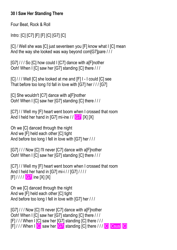### **30 I Saw Her Standing There**

Four Beat, Rock & Roll

Intro: [C] [C7] [F] [F] [C] [G7] [C]

[C] / Well she was [C] just seventeen you [F] know what I [C] mean And the way she looked was way beyond com[G7]pare / / /

[G7] / / / So [C] how could I [C7] dance with a[F]nother Ooh! When I [C] saw her [G7] standing [C] there / / /

[C] / / / Well [C] she looked at me and [F] I - I could [C] see That before too long I'd fall in love with [G7] her / / / [G7]

[C] She wouldn't [C7] dance with a[F]nother Ooh! When I [C] saw her [G7] standing [C] there / / /

[C7] / / Well my [F] heart went boom when I crossed that room And I held her hand in [G7] mi-ine  $//$  [G7] [X] [X]

Oh we [C] danced through the night And we [F] held each other [C] tight And before too long I fell in love with [G7] her / / /

[G7] / / / Now [C] I'll never [C7] dance with a[F]nother Ooh! When I [C] saw her [G7] standing [C] there / / /

[C7] / / Well my [F] heart went boom when I crossed that room And I held her hand in [G7] mi-i / / [G7] / / / /  $[F]/ // / [G7]$  ine [X] [X]

Oh we [C] danced through the night And we [F] held each other [C] tight And before too long I fell in love with [G7] her / / /

[G7] / / / Now [C] I'll never [C7] dance with a[F]nother Ooh! When I [C] saw her [G7] standing [C] there / / / [F] / / / When I [C] saw her [G7] standing [C] there / / / [F] / / / When I **[C]** saw her **[G7]** standing [C] there / / / **[C] [Csus]** [C]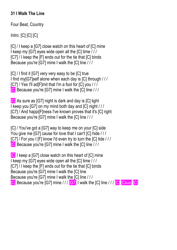## **31 I Walk The Line**

Four Beat, Country

Intro: [C] [C] [C]

[C] / I keep a [G7] close watch on this heart of [C] mine I keep my [G7] eyes wide open all the [C] time / / / [C7] / I keep the [F] ends out for the tie that [C] binds Because you're [G7] mine I walk the [C] line / / /

[C] / I find it [G7] very very easy to be [C] true I find my[G7]self alone when each day is [C] through / / / [C7] / Yes I'll ad[F]mit that I'm a fool for [C] you / / / [C] Because you're [G7] mine I walk the [C] line / / /

[C] As sure as [G7] night is dark and day is [C] light I keep you [G7] on my mind both day and [C] night / / / [C7] / And happi[F]ness I've known proves that it's [C] right Because you're [G7] mine I walk the [C] line / / /

[C] / You've got a [G7] way to keep me on your [C] side You give me [G7] cause for love that I can't [C] hide / / /  $C71/$  For you I IFI know I'd even try to turn the  $C1$  tide  $1/1/2$ [C] Because you're [G7] mine I walk the [C] line / / /

[C] I keep a [G7] close watch on this heart of [C] mine I keep my [G7] eyes wide open all the [C] time / / / [C7] / I keep the [F] ends out for the tie that [C] binds Because you're [G7] mine I walk the [C] line Because you're [G7] mine I walk the [C] line / / /  $|C|$  Because you're [G7] mine ///  $|G7|$  I walk the [C] line ///  $|C|$  [Csus]  $|C|$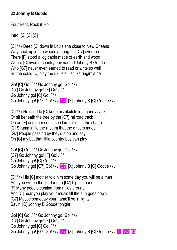#### **32 Johnny B Goode**

Four Beat, Rock & Roll

Intro: [C] [C] [C]

[C] / / / Deep [C] down in Louisiana close to New Orleans Way back up in the woods among the [C7] evergreens There [F] stood a log cabin made of earth and wood Where [C] lived a country boy named Johnny B Goode Who [G7] never ever learned to read or write so well But he could [C] play the ukulele just like ringin' a bell

Go! [C] Go! / / / Go Johnny go! Go! / / / [C7] Go Johnny go! [F] Go! / / / Go Johnny go! [C] Go! / / / Go Johnny go! [G7] Go! / / / [G7] [X] Johnny B [C] Goode / / /

[C] / / / He used to [C] keep his ukulele in a gunny sack Or sit beneath the tree by the [C7] railroad track Oh an [F] engineer could see him sitting in the shade [C] Strummin' to the rhythm that the drivers made [G7] People passing by they'd stop and say Oh [C] my but that little country boy can play

Go! [C] Go! / / / Go Johnny go! Go! / / / [C7] Go Johnny go! [F] Go! / / / Go Johnny go! [C] Go! / / / Go Johnny go! [G7] Go! / / / [G7] [X] Johnny B [C] Goode / / /

[C] / / / His [C] mother told him some day you will be a man And you will be the leader of a [C7] big old band [F] Many people coming from miles around And [C] hear you play your music till the sun goes down [G7] Maybe someday your name'll be in lights Sayin' [C] Johnny B Goode tonight

Go! [C] Go! / / / Go Johnny go! Go! / / / [C7] Go Johnny go! [F] Go! / / / Go Johnny go! [C] Go! / / / Go Johnny go! [G7] Go! / / / [G7] [X] Johnny B [C] Goode / / / <sup>[C]</sup> [G7] [C]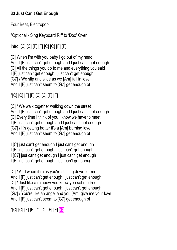## **33 Just Can't Get Enough**

Four Beat, Electropop

\*Optional - Sing Keyboard Riff to 'Doo' Over:

Intro: [C] [C] [F] [F] [C] [C] [F] [F]

[C] When I'm with you baby I go out of my head And I [F] just can't get enough and I just can't get enough [C] All the things you do to me and everything you said I [F] just can't get enough I just can't get enough [G7] / We slip and slide as we [Am] fall in love And I [F] just can't seem to [G7] get enough of

\*[C] [C] [F] [F] [C] [C] [F] [F]

[C] / We walk together walking down the street And I [F] just can't get enough and I just can't get enough [C] Every time I think of you I know we have to meet I [F] just can't get enough and I just can't get enough [G7] / It's getting hotter it's a [Am] burning love And I [F] just can't seem to [G7] get enough of

I [C] just can't get enough I just can't get enough I [F] just can't get enough I just can't get enough I [C7] just can't get enough I just can't get enough I [F] just can't get enough I just can't get enough

[C] / And when it rains you're shining down for me And I [F] just can't get enough I just can't get enough [C] / Just like a rainbow you know you set me free And I [F] just can't get enough I just can't get enough [G7] / You're like an angel and you [Am] give me your love And I [F] just can't seem to [G7] get enough of

\*[C] [C] [F] [F] [C] [C] [F] [F] [C]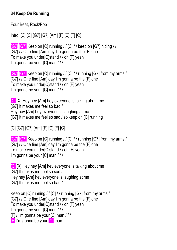## **34 Keep On Running**

Four Beat, Rock/Pop

Intro: [C] [C] [G7] [G7] [Am] [F] [C] [F] [C]

[G7] [G7] Keep on [C] running / / [C] / / keep on [G7] hiding / / [G7] / / One fine [Am] day I'm gonna be the [F] one To make you under[C]stand / / oh [F] yeah I'm gonna be your [C] man / / /

[G7] [G7] Keep on [C] running / / [C] / / running [G7] from my arms / [G7] / / One fine [Am] day I'm gonna be the [F] one To make you under[C]stand / / oh [F] yeah I'm gonna be your [C] man / / /

[C] [X] Hey hey [Am] hey everyone is talking about me [G7] It makes me feel so bad / Hey hey [Am] hey everyone is laughing at me [G7] It makes me feel so sad / so keep on [C] running

[C] [G7] [G7] [Am] [F] [C] [F] [C]

[G7] [G7] Keep on [C] running / / [C] / / running [G7] from my arms / [G7] / / One fine [Am] day I'm gonna be the [F] one To make you under[C]stand / / oh [F] yeah I'm gonna be your [C] man / / /

[C] [X] Hey hey [Am] hey everyone is talking about me [G7] It makes me feel so sad / Hey hey [Am] hey everyone is laughing at me [G7] It makes me feel so bad /

Keep on [C] running / / [C] / / running [G7] from my arms / [G7] / / One fine [Am] day I'm gonna be the [F] one To make you under[C]stand / / oh [F] yeah I'm gonna be your [C] man / / / [F] / I'm gonna be your [C] man / / / [F] I'm gonna be your [C] man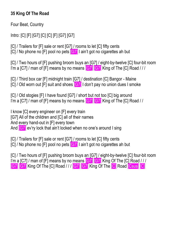# **35 King Of The Road**

Four Beat, Country

Intro: [C] [F] [G7] [C] [C] [F] [G7] [G7]

[C] / Trailers for [F] sale or rent [G7] / rooms to let [C] fifty cents [C] / No phone no [F] pool no pets [G7] I ain't got no cigarettes ah but

[C] / Two hours of [F] pushing broom buys an [G7] / eight-by-twelve [C] four-bit room I'm a [C7] / man of [F] means by no means  $\boxed{G7}$   $\boxed{G7}$  King of The [C] Road ///

[C] / Third box car [F] midnight train [G7] / destination [C] Bangor - Maine [C] / Old worn out [F] suit and shoes **[G7]** I don't pay no union dues I smoke

[C] / Old stogies [F] I have found [G7] / short but not too [C] big around I'm a [C7] / man of [F] means by no means  $|G7|$   $|G7|$  King of The [C] Road / /

I know [C] every engineer on [F] every train [G7] All of the children and [C] all of their names And every hand-out in [F] every town And [G7] ev'ry lock that ain't locked when no one's around I sing

[C] / Trailers for [F] sale or rent [G7] / rooms to let [C] fifty cents [C] / No phone no [F] pool no pets [G7] I ain't got no cigarettes ah but

[C] / Two hours of [F] pushing broom buys an [G7] / eight-by-twelve [C] four-bit room I'm a [C7] / man of [F] means by no means  $[G7]$   $[G7]$  King Of The [C] Road /// [G7] [G7] King Of The [C] Road / / / [G7] [G7] King Of The [C] Road [Csus] [C]